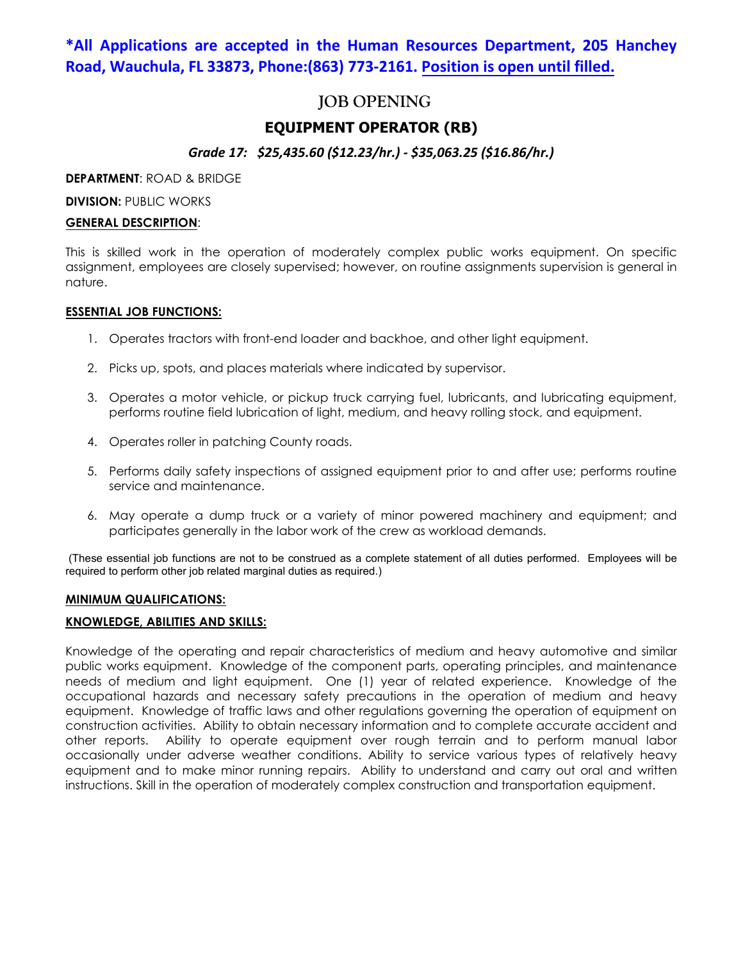# **\*All Applications are accepted in the Human Resources Department, 205 Hanchey Road, Wauchula, FL 33873, Phone:(863) 773-2161. Position is open until filled.**

# **JOB OPENING**

# **EQUIPMENT OPERATOR (RB)**

# *Grade 17: \$25,435.60 (\$12.23/hr.) - \$35,063.25 (\$16.86/hr.)*

**DEPARTMENT**: ROAD & BRIDGE

**DIVISION: PUBLIC WORKS** 

## **GENERAL DESCRIPTION**:

This is skilled work in the operation of moderately complex public works equipment. On specific assignment, employees are closely supervised; however, on routine assignments supervision is general in nature.

## **ESSENTIAL JOB FUNCTIONS:**

- 1. Operates tractors with front-end loader and backhoe, and other light equipment.
- 2. Picks up, spots, and places materials where indicated by supervisor.
- 3. Operates a motor vehicle, or pickup truck carrying fuel, lubricants, and lubricating equipment, performs routine field lubrication of light, medium, and heavy rolling stock, and equipment.
- 4. Operates roller in patching County roads.
- 5. Performs daily safety inspections of assigned equipment prior to and after use; performs routine service and maintenance.
- 6. May operate a dump truck or a variety of minor powered machinery and equipment; and participates generally in the labor work of the crew as workload demands.

(These essential job functions are not to be construed as a complete statement of all duties performed. Employees will be required to perform other job related marginal duties as required.)

# **MINIMUM QUALIFICATIONS:**

## **KNOWLEDGE, ABILITIES AND SKILLS:**

Knowledge of the operating and repair characteristics of medium and heavy automotive and similar public works equipment. Knowledge of the component parts, operating principles, and maintenance needs of medium and light equipment. One (1) year of related experience. Knowledge of the occupational hazards and necessary safety precautions in the operation of medium and heavy equipment. Knowledge of traffic laws and other regulations governing the operation of equipment on construction activities. Ability to obtain necessary information and to complete accurate accident and other reports. Ability to operate equipment over rough terrain and to perform manual labor occasionally under adverse weather conditions. Ability to service various types of relatively heavy equipment and to make minor running repairs. Ability to understand and carry out oral and written instructions. Skill in the operation of moderately complex construction and transportation equipment.